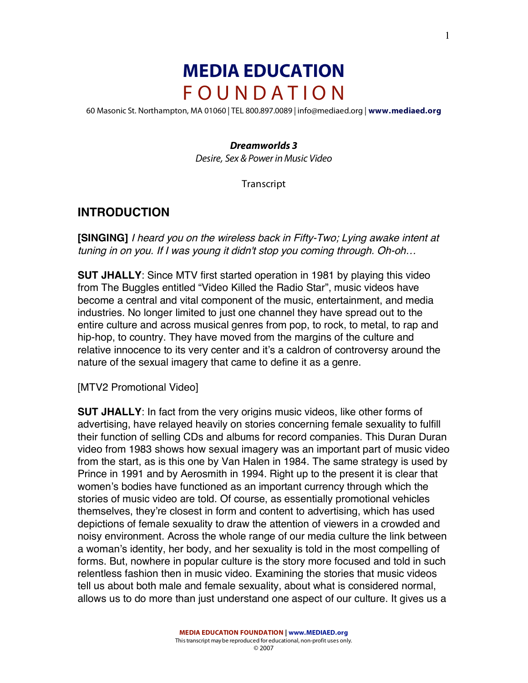# **MEDIA EDUCATION** F O U N D A T I O N

60 Masonic St. Northampton, MA 01060 | TEL 800.897.0089 | info@mediaed.org | **www.mediaed.org**

#### *Dreamworlds 3*

Desire, Sex & Power in Music Video

**Transcript** 

## **INTRODUCTION**

**[SINGING]** I heard you on the wireless back in Fifty-Two; Lying awake intent at tuning in on you. If I was young it didn't stop you coming through. Oh-oh…

**SUT JHALLY**: Since MTV first started operation in 1981 by playing this video from The Buggles entitled "Video Killed the Radio Star", music videos have become a central and vital component of the music, entertainment, and media industries. No longer limited to just one channel they have spread out to the entire culture and across musical genres from pop, to rock, to metal, to rap and hip-hop, to country. They have moved from the margins of the culture and relative innocence to its very center and it's a caldron of controversy around the nature of the sexual imagery that came to define it as a genre.

[MTV2 Promotional Video]

**SUT JHALLY**: In fact from the very origins music videos, like other forms of advertising, have relayed heavily on stories concerning female sexuality to fulfill their function of selling CDs and albums for record companies. This Duran Duran video from 1983 shows how sexual imagery was an important part of music video from the start, as is this one by Van Halen in 1984. The same strategy is used by Prince in 1991 and by Aerosmith in 1994. Right up to the present it is clear that women's bodies have functioned as an important currency through which the stories of music video are told. Of course, as essentially promotional vehicles themselves, they're closest in form and content to advertising, which has used depictions of female sexuality to draw the attention of viewers in a crowded and noisy environment. Across the whole range of our media culture the link between a woman's identity, her body, and her sexuality is told in the most compelling of forms. But, nowhere in popular culture is the story more focused and told in such relentless fashion then in music video. Examining the stories that music videos tell us about both male and female sexuality, about what is considered normal, allows us to do more than just understand one aspect of our culture. It gives us a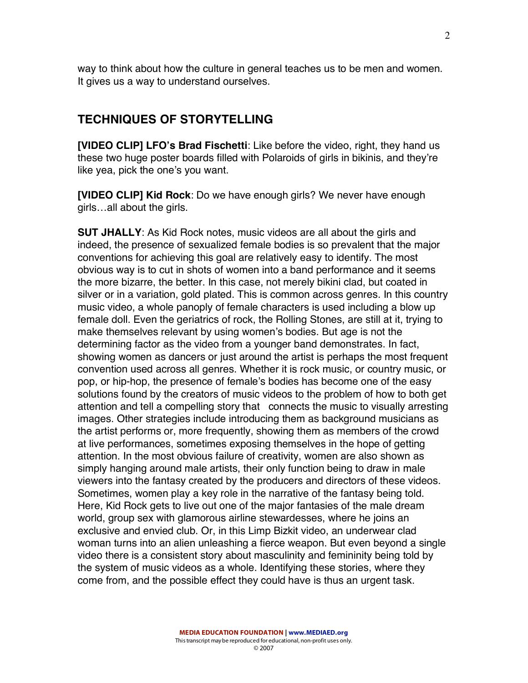way to think about how the culture in general teaches us to be men and women. It gives us a way to understand ourselves.

#### **TECHNIQUES OF STORYTELLING**

**[VIDEO CLIP] LFO's Brad Fischetti**: Like before the video, right, they hand us these two huge poster boards filled with Polaroids of girls in bikinis, and they're like yea, pick the one's you want.

**[VIDEO CLIP] Kid Rock**: Do we have enough girls? We never have enough girls…all about the girls.

**SUT JHALLY**: As Kid Rock notes, music videos are all about the girls and indeed, the presence of sexualized female bodies is so prevalent that the major conventions for achieving this goal are relatively easy to identify. The most obvious way is to cut in shots of women into a band performance and it seems the more bizarre, the better. In this case, not merely bikini clad, but coated in silver or in a variation, gold plated. This is common across genres. In this country music video, a whole panoply of female characters is used including a blow up female doll. Even the geriatrics of rock, the Rolling Stones, are still at it, trying to make themselves relevant by using women's bodies. But age is not the determining factor as the video from a younger band demonstrates. In fact, showing women as dancers or just around the artist is perhaps the most frequent convention used across all genres. Whether it is rock music, or country music, or pop, or hip-hop, the presence of female's bodies has become one of the easy solutions found by the creators of music videos to the problem of how to both get attention and tell a compelling story that connects the music to visually arresting images. Other strategies include introducing them as background musicians as the artist performs or, more frequently, showing them as members of the crowd at live performances, sometimes exposing themselves in the hope of getting attention. In the most obvious failure of creativity, women are also shown as simply hanging around male artists, their only function being to draw in male viewers into the fantasy created by the producers and directors of these videos. Sometimes, women play a key role in the narrative of the fantasy being told. Here, Kid Rock gets to live out one of the major fantasies of the male dream world, group sex with glamorous airline stewardesses, where he joins an exclusive and envied club. Or, in this Limp Bizkit video, an underwear clad woman turns into an alien unleashing a fierce weapon. But even beyond a single video there is a consistent story about masculinity and femininity being told by the system of music videos as a whole. Identifying these stories, where they come from, and the possible effect they could have is thus an urgent task.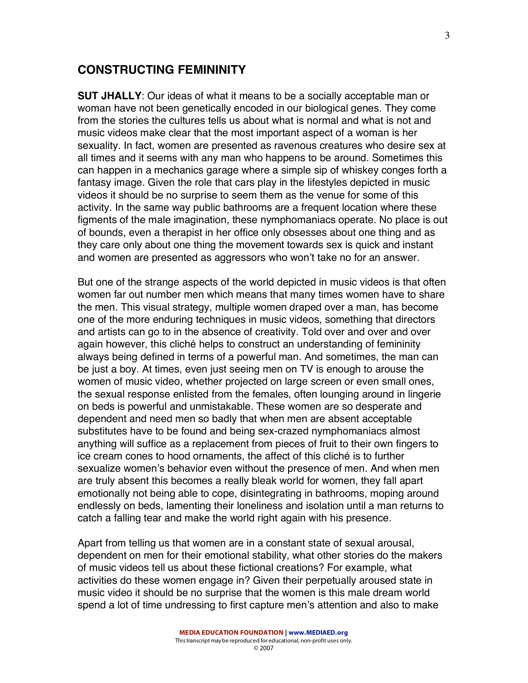#### **CONSTRUCTING FEMININITY**

**SUT JHALLY**: Our ideas of what it means to be a socially acceptable man or woman have not been genetically encoded in our biological genes. They come from the stories the cultures tells us about what is normal and what is not and music videos make clear that the most important aspect of a woman is her sexuality. In fact, women are presented as ravenous creatures who desire sex at all times and it seems with any man who happens to be around. Sometimes this can happen in a mechanics garage where a simple sip of whiskey conges forth a fantasy image. Given the role that cars play in the lifestyles depicted in music videos it should be no surprise to seem them as the venue for some of this activity. In the same way public bathrooms are a frequent location where these figments of the male imagination, these nymphomaniacs operate. No place is out of bounds, even a therapist in her office only obsesses about one thing and as they care only about one thing the movement towards sex is quick and instant and women are presented as aggressors who won't take no for an answer.

But one of the strange aspects of the world depicted in music videos is that often women far out number men which means that many times women have to share the men. This visual strategy, multiple women draped over a man, has become one of the more enduring techniques in music videos, something that directors and artists can go to in the absence of creativity. Told over and over and over again however, this cliché helps to construct an understanding of femininity always being defined in terms of a powerful man. And sometimes, the man can be just a boy. At times, even just seeing men on TV is enough to arouse the women of music video, whether projected on large screen or even small ones, the sexual response enlisted from the females, often lounging around in lingerie on beds is powerful and unmistakable. These women are so desperate and dependent and need men so badly that when men are absent acceptable substitutes have to be found and being sex-crazed nymphomaniacs almost anything will suffice as a replacement from pieces of fruit to their own fingers to ice cream cones to hood ornaments, the affect of this cliché is to further sexualize women's behavior even without the presence of men. And when men are truly absent this becomes a really bleak world for women, they fall apart emotionally not being able to cope, disintegrating in bathrooms, moping around endlessly on beds, lamenting their loneliness and isolation until a man returns to catch a falling tear and make the world right again with his presence.

Apart from telling us that women are in a constant state of sexual arousal, dependent on men for their emotional stability, what other stories do the makers of music videos tell us about these fictional creations? For example, what activities do these women engage in? Given their perpetually aroused state in music video it should be no surprise that the women is this male dream world spend a lot of time undressing to first capture men's attention and also to make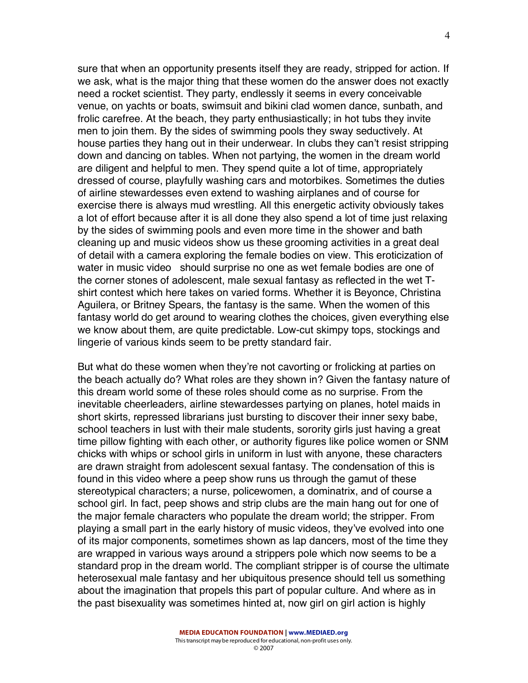sure that when an opportunity presents itself they are ready, stripped for action. If we ask, what is the major thing that these women do the answer does not exactly need a rocket scientist. They party, endlessly it seems in every conceivable venue, on yachts or boats, swimsuit and bikini clad women dance, sunbath, and frolic carefree. At the beach, they party enthusiastically; in hot tubs they invite men to join them. By the sides of swimming pools they sway seductively. At house parties they hang out in their underwear. In clubs they can't resist stripping down and dancing on tables. When not partying, the women in the dream world are diligent and helpful to men. They spend quite a lot of time, appropriately dressed of course, playfully washing cars and motorbikes. Sometimes the duties of airline stewardesses even extend to washing airplanes and of course for exercise there is always mud wrestling. All this energetic activity obviously takes a lot of effort because after it is all done they also spend a lot of time just relaxing by the sides of swimming pools and even more time in the shower and bath cleaning up and music videos show us these grooming activities in a great deal of detail with a camera exploring the female bodies on view. This eroticization of water in music video should surprise no one as wet female bodies are one of the corner stones of adolescent, male sexual fantasy as reflected in the wet Tshirt contest which here takes on varied forms. Whether it is Beyonce, Christina Aguilera, or Britney Spears, the fantasy is the same. When the women of this fantasy world do get around to wearing clothes the choices, given everything else we know about them, are quite predictable. Low-cut skimpy tops, stockings and lingerie of various kinds seem to be pretty standard fair.

But what do these women when they're not cavorting or frolicking at parties on the beach actually do? What roles are they shown in? Given the fantasy nature of this dream world some of these roles should come as no surprise. From the inevitable cheerleaders, airline stewardesses partying on planes, hotel maids in short skirts, repressed librarians just bursting to discover their inner sexy babe, school teachers in lust with their male students, sorority girls just having a great time pillow fighting with each other, or authority figures like police women or SNM chicks with whips or school girls in uniform in lust with anyone, these characters are drawn straight from adolescent sexual fantasy. The condensation of this is found in this video where a peep show runs us through the gamut of these stereotypical characters; a nurse, policewomen, a dominatrix, and of course a school girl. In fact, peep shows and strip clubs are the main hang out for one of the major female characters who populate the dream world; the stripper. From playing a small part in the early history of music videos, they've evolved into one of its major components, sometimes shown as lap dancers, most of the time they are wrapped in various ways around a strippers pole which now seems to be a standard prop in the dream world. The compliant stripper is of course the ultimate heterosexual male fantasy and her ubiquitous presence should tell us something about the imagination that propels this part of popular culture. And where as in the past bisexuality was sometimes hinted at, now girl on girl action is highly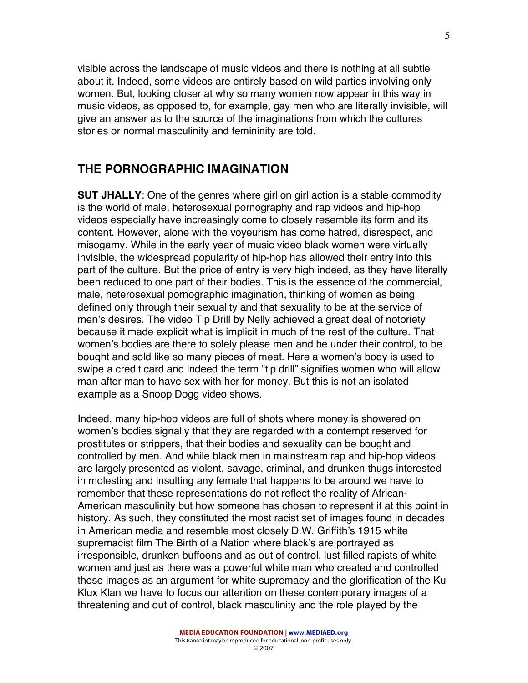visible across the landscape of music videos and there is nothing at all subtle about it. Indeed, some videos are entirely based on wild parties involving only women. But, looking closer at why so many women now appear in this way in music videos, as opposed to, for example, gay men who are literally invisible, will give an answer as to the source of the imaginations from which the cultures stories or normal masculinity and femininity are told.

### **THE PORNOGRAPHIC IMAGINATION**

**SUT JHALLY**: One of the genres where girl on girl action is a stable commodity is the world of male, heterosexual pornography and rap videos and hip-hop videos especially have increasingly come to closely resemble its form and its content. However, alone with the voyeurism has come hatred, disrespect, and misogamy. While in the early year of music video black women were virtually invisible, the widespread popularity of hip-hop has allowed their entry into this part of the culture. But the price of entry is very high indeed, as they have literally been reduced to one part of their bodies. This is the essence of the commercial, male, heterosexual pornographic imagination, thinking of women as being defined only through their sexuality and that sexuality to be at the service of men's desires. The video Tip Drill by Nelly achieved a great deal of notoriety because it made explicit what is implicit in much of the rest of the culture. That women's bodies are there to solely please men and be under their control, to be bought and sold like so many pieces of meat. Here a women's body is used to swipe a credit card and indeed the term "tip drill" signifies women who will allow man after man to have sex with her for money. But this is not an isolated example as a Snoop Dogg video shows.

Indeed, many hip-hop videos are full of shots where money is showered on women's bodies signally that they are regarded with a contempt reserved for prostitutes or strippers, that their bodies and sexuality can be bought and controlled by men. And while black men in mainstream rap and hip-hop videos are largely presented as violent, savage, criminal, and drunken thugs interested in molesting and insulting any female that happens to be around we have to remember that these representations do not reflect the reality of African-American masculinity but how someone has chosen to represent it at this point in history. As such, they constituted the most racist set of images found in decades in American media and resemble most closely D.W. Griffith's 1915 white supremacist film The Birth of a Nation where black's are portrayed as irresponsible, drunken buffoons and as out of control, lust filled rapists of white women and just as there was a powerful white man who created and controlled those images as an argument for white supremacy and the glorification of the Ku Klux Klan we have to focus our attention on these contemporary images of a threatening and out of control, black masculinity and the role played by the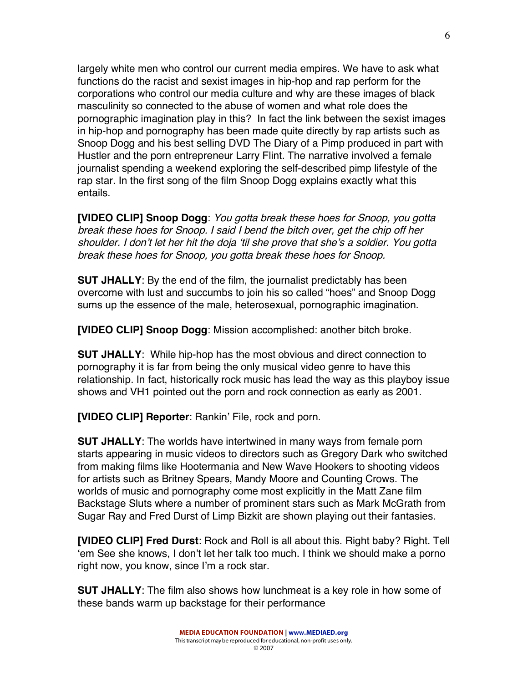largely white men who control our current media empires. We have to ask what functions do the racist and sexist images in hip-hop and rap perform for the corporations who control our media culture and why are these images of black masculinity so connected to the abuse of women and what role does the pornographic imagination play in this? In fact the link between the sexist images in hip-hop and pornography has been made quite directly by rap artists such as Snoop Dogg and his best selling DVD The Diary of a Pimp produced in part with Hustler and the porn entrepreneur Larry Flint. The narrative involved a female journalist spending a weekend exploring the self-described pimp lifestyle of the rap star. In the first song of the film Snoop Dogg explains exactly what this entails.

**[VIDEO CLIP] Snoop Dogg**: You gotta break these hoes for Snoop, you gotta break these hoes for Snoop. I said I bend the bitch over, get the chip off her shoulder. I don't let her hit the doja 'til she prove that she's a soldier. You gotta break these hoes for Snoop, you gotta break these hoes for Snoop.

**SUT JHALLY**: By the end of the film, the journalist predictably has been overcome with lust and succumbs to join his so called "hoes" and Snoop Dogg sums up the essence of the male, heterosexual, pornographic imagination.

**[VIDEO CLIP] Snoop Dogg**: Mission accomplished: another bitch broke.

**SUT JHALLY**: While hip-hop has the most obvious and direct connection to pornography it is far from being the only musical video genre to have this relationship. In fact, historically rock music has lead the way as this playboy issue shows and VH1 pointed out the porn and rock connection as early as 2001.

**[VIDEO CLIP] Reporter**: Rankin' File, rock and porn.

**SUT JHALLY**: The worlds have intertwined in many ways from female porn starts appearing in music videos to directors such as Gregory Dark who switched from making films like Hootermania and New Wave Hookers to shooting videos for artists such as Britney Spears, Mandy Moore and Counting Crows. The worlds of music and pornography come most explicitly in the Matt Zane film Backstage Sluts where a number of prominent stars such as Mark McGrath from Sugar Ray and Fred Durst of Limp Bizkit are shown playing out their fantasies.

**[VIDEO CLIP] Fred Durst**: Rock and Roll is all about this. Right baby? Right. Tell 'em See she knows, I don't let her talk too much. I think we should make a porno right now, you know, since I'm a rock star.

**SUT JHALLY**: The film also shows how lunchmeat is a key role in how some of these bands warm up backstage for their performance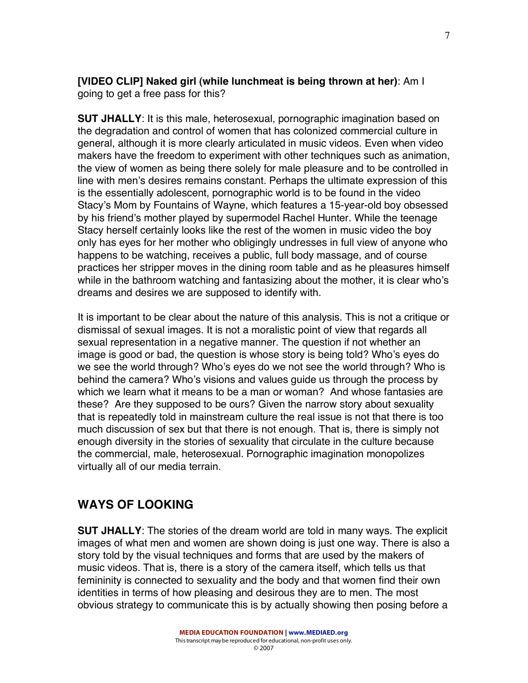#### **[VIDEO CLIP] Naked girl (while lunchmeat is being thrown at her)**: Am I going to get a free pass for this?

**SUT JHALLY**: It is this male, heterosexual, pornographic imagination based on the degradation and control of women that has colonized commercial culture in general, although it is more clearly articulated in music videos. Even when video makers have the freedom to experiment with other techniques such as animation, the view of women as being there solely for male pleasure and to be controlled in line with men's desires remains constant. Perhaps the ultimate expression of this is the essentially adolescent, pornographic world is to be found in the video Stacy's Mom by Fountains of Wayne, which features a 15-year-old boy obsessed by his friend's mother played by supermodel Rachel Hunter. While the teenage Stacy herself certainly looks like the rest of the women in music video the boy only has eyes for her mother who obligingly undresses in full view of anyone who happens to be watching, receives a public, full body massage, and of course practices her stripper moves in the dining room table and as he pleasures himself while in the bathroom watching and fantasizing about the mother, it is clear who's dreams and desires we are supposed to identify with.

It is important to be clear about the nature of this analysis. This is not a critique or dismissal of sexual images. It is not a moralistic point of view that regards all sexual representation in a negative manner. The question if not whether an image is good or bad, the question is whose story is being told? Who's eyes do we see the world through? Who's eyes do we not see the world through? Who is behind the camera? Who's visions and values guide us through the process by which we learn what it means to be a man or woman? And whose fantasies are these? Are they supposed to be ours? Given the narrow story about sexuality that is repeatedly told in mainstream culture the real issue is not that there is too much discussion of sex but that there is not enough. That is, there is simply not enough diversity in the stories of sexuality that circulate in the culture because the commercial, male, heterosexual. Pornographic imagination monopolizes virtually all of our media terrain.

# **WAYS OF LOOKING**

**SUT JHALLY**: The stories of the dream world are told in many ways. The explicit images of what men and women are shown doing is just one way. There is also a story told by the visual techniques and forms that are used by the makers of music videos. That is, there is a story of the camera itself, which tells us that femininity is connected to sexuality and the body and that women find their own identities in terms of how pleasing and desirous they are to men. The most obvious strategy to communicate this is by actually showing then posing before a

7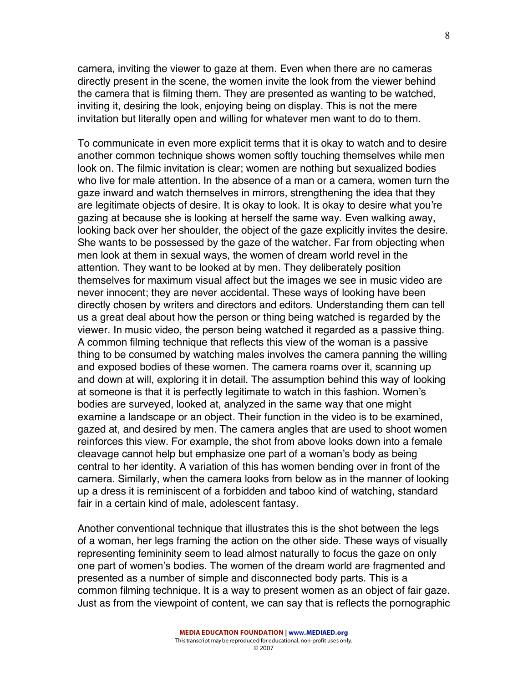camera, inviting the viewer to gaze at them. Even when there are no cameras directly present in the scene, the women invite the look from the viewer behind the camera that is filming them. They are presented as wanting to be watched, inviting it, desiring the look, enjoying being on display. This is not the mere invitation but literally open and willing for whatever men want to do to them.

To communicate in even more explicit terms that it is okay to watch and to desire another common technique shows women softly touching themselves while men look on. The filmic invitation is clear; women are nothing but sexualized bodies who live for male attention. In the absence of a man or a camera, women turn the gaze inward and watch themselves in mirrors, strengthening the idea that they are legitimate objects of desire. It is okay to look. It is okay to desire what you're gazing at because she is looking at herself the same way. Even walking away, looking back over her shoulder, the object of the gaze explicitly invites the desire. She wants to be possessed by the gaze of the watcher. Far from objecting when men look at them in sexual ways, the women of dream world revel in the attention. They want to be looked at by men. They deliberately position themselves for maximum visual affect but the images we see in music video are never innocent; they are never accidental. These ways of looking have been directly chosen by writers and directors and editors. Understanding them can tell us a great deal about how the person or thing being watched is regarded by the viewer. In music video, the person being watched it regarded as a passive thing. A common filming technique that reflects this view of the woman is a passive thing to be consumed by watching males involves the camera panning the willing and exposed bodies of these women. The camera roams over it, scanning up and down at will, exploring it in detail. The assumption behind this way of looking at someone is that it is perfectly legitimate to watch in this fashion. Women's bodies are surveyed, looked at, analyzed in the same way that one might examine a landscape or an object. Their function in the video is to be examined, gazed at, and desired by men. The camera angles that are used to shoot women reinforces this view. For example, the shot from above looks down into a female cleavage cannot help but emphasize one part of a woman's body as being central to her identity. A variation of this has women bending over in front of the camera. Similarly, when the camera looks from below as in the manner of looking up a dress it is reminiscent of a forbidden and taboo kind of watching, standard fair in a certain kind of male, adolescent fantasy.

Another conventional technique that illustrates this is the shot between the legs of a woman, her legs framing the action on the other side. These ways of visually representing femininity seem to lead almost naturally to focus the gaze on only one part of women's bodies. The women of the dream world are fragmented and presented as a number of simple and disconnected body parts. This is a common filming technique. It is a way to present women as an object of fair gaze. Just as from the viewpoint of content, we can say that is reflects the pornographic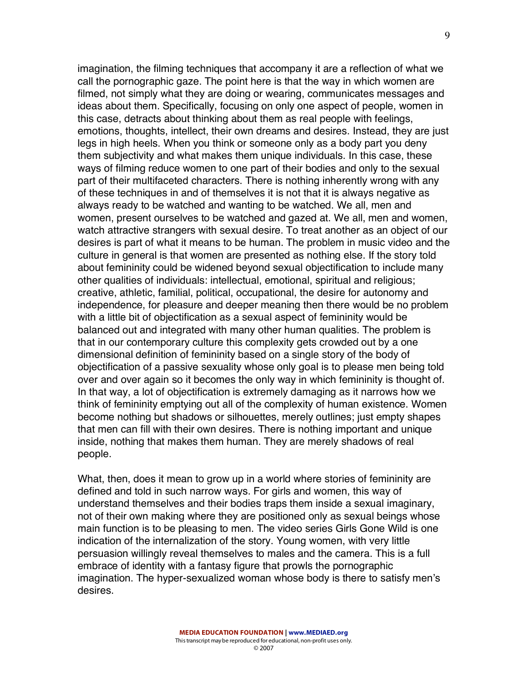imagination, the filming techniques that accompany it are a reflection of what we call the pornographic gaze. The point here is that the way in which women are filmed, not simply what they are doing or wearing, communicates messages and ideas about them. Specifically, focusing on only one aspect of people, women in this case, detracts about thinking about them as real people with feelings, emotions, thoughts, intellect, their own dreams and desires. Instead, they are just legs in high heels. When you think or someone only as a body part you deny them subjectivity and what makes them unique individuals. In this case, these ways of filming reduce women to one part of their bodies and only to the sexual part of their multifaceted characters. There is nothing inherently wrong with any of these techniques in and of themselves it is not that it is always negative as always ready to be watched and wanting to be watched. We all, men and women, present ourselves to be watched and gazed at. We all, men and women, watch attractive strangers with sexual desire. To treat another as an object of our desires is part of what it means to be human. The problem in music video and the culture in general is that women are presented as nothing else. If the story told about femininity could be widened beyond sexual objectification to include many other qualities of individuals: intellectual, emotional, spiritual and religious; creative, athletic, familial, political, occupational, the desire for autonomy and independence, for pleasure and deeper meaning then there would be no problem with a little bit of objectification as a sexual aspect of femininity would be balanced out and integrated with many other human qualities. The problem is that in our contemporary culture this complexity gets crowded out by a one dimensional definition of femininity based on a single story of the body of objectification of a passive sexuality whose only goal is to please men being told over and over again so it becomes the only way in which femininity is thought of. In that way, a lot of objectification is extremely damaging as it narrows how we think of femininity emptying out all of the complexity of human existence. Women become nothing but shadows or silhouettes, merely outlines; just empty shapes that men can fill with their own desires. There is nothing important and unique inside, nothing that makes them human. They are merely shadows of real people.

What, then, does it mean to grow up in a world where stories of femininity are defined and told in such narrow ways. For girls and women, this way of understand themselves and their bodies traps them inside a sexual imaginary, not of their own making where they are positioned only as sexual beings whose main function is to be pleasing to men. The video series Girls Gone Wild is one indication of the internalization of the story. Young women, with very little persuasion willingly reveal themselves to males and the camera. This is a full embrace of identity with a fantasy figure that prowls the pornographic imagination. The hyper-sexualized woman whose body is there to satisfy men's desires.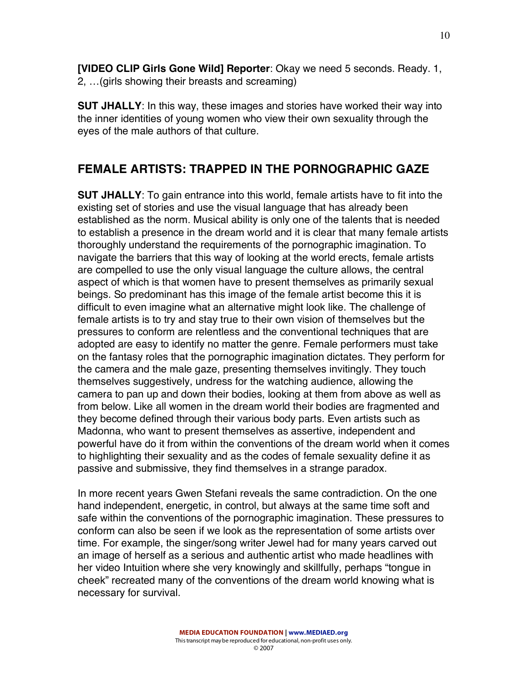**[VIDEO CLIP Girls Gone Wild] Reporter**: Okay we need 5 seconds. Ready. 1, 2, …(girls showing their breasts and screaming)

**SUT JHALLY**: In this way, these images and stories have worked their way into the inner identities of young women who view their own sexuality through the eyes of the male authors of that culture.

## **FEMALE ARTISTS: TRAPPED IN THE PORNOGRAPHIC GAZE**

**SUT JHALLY**: To gain entrance into this world, female artists have to fit into the existing set of stories and use the visual language that has already been established as the norm. Musical ability is only one of the talents that is needed to establish a presence in the dream world and it is clear that many female artists thoroughly understand the requirements of the pornographic imagination. To navigate the barriers that this way of looking at the world erects, female artists are compelled to use the only visual language the culture allows, the central aspect of which is that women have to present themselves as primarily sexual beings. So predominant has this image of the female artist become this it is difficult to even imagine what an alternative might look like. The challenge of female artists is to try and stay true to their own vision of themselves but the pressures to conform are relentless and the conventional techniques that are adopted are easy to identify no matter the genre. Female performers must take on the fantasy roles that the pornographic imagination dictates. They perform for the camera and the male gaze, presenting themselves invitingly. They touch themselves suggestively, undress for the watching audience, allowing the camera to pan up and down their bodies, looking at them from above as well as from below. Like all women in the dream world their bodies are fragmented and they become defined through their various body parts. Even artists such as Madonna, who want to present themselves as assertive, independent and powerful have do it from within the conventions of the dream world when it comes to highlighting their sexuality and as the codes of female sexuality define it as passive and submissive, they find themselves in a strange paradox.

In more recent years Gwen Stefani reveals the same contradiction. On the one hand independent, energetic, in control, but always at the same time soft and safe within the conventions of the pornographic imagination. These pressures to conform can also be seen if we look as the representation of some artists over time. For example, the singer/song writer Jewel had for many years carved out an image of herself as a serious and authentic artist who made headlines with her video Intuition where she very knowingly and skillfully, perhaps "tongue in cheek" recreated many of the conventions of the dream world knowing what is necessary for survival.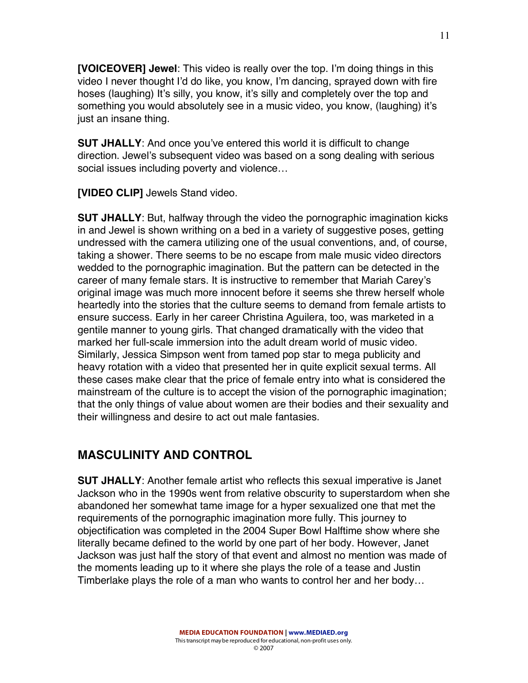**[VOICEOVER] Jewel**: This video is really over the top. I'm doing things in this video I never thought I'd do like, you know, I'm dancing, sprayed down with fire hoses (laughing) It's silly, you know, it's silly and completely over the top and something you would absolutely see in a music video, you know, (laughing) it's just an insane thing.

**SUT JHALLY**: And once you've entered this world it is difficult to change direction. Jewel's subsequent video was based on a song dealing with serious social issues including poverty and violence…

**[VIDEO CLIP]** Jewels Stand video.

**SUT JHALLY**: But, halfway through the video the pornographic imagination kicks in and Jewel is shown writhing on a bed in a variety of suggestive poses, getting undressed with the camera utilizing one of the usual conventions, and, of course, taking a shower. There seems to be no escape from male music video directors wedded to the pornographic imagination. But the pattern can be detected in the career of many female stars. It is instructive to remember that Mariah Carey's original image was much more innocent before it seems she threw herself whole heartedly into the stories that the culture seems to demand from female artists to ensure success. Early in her career Christina Aguilera, too, was marketed in a gentile manner to young girls. That changed dramatically with the video that marked her full-scale immersion into the adult dream world of music video. Similarly, Jessica Simpson went from tamed pop star to mega publicity and heavy rotation with a video that presented her in quite explicit sexual terms. All these cases make clear that the price of female entry into what is considered the mainstream of the culture is to accept the vision of the pornographic imagination; that the only things of value about women are their bodies and their sexuality and their willingness and desire to act out male fantasies.

# **MASCULINITY AND CONTROL**

**SUT JHALLY**: Another female artist who reflects this sexual imperative is Janet Jackson who in the 1990s went from relative obscurity to superstardom when she abandoned her somewhat tame image for a hyper sexualized one that met the requirements of the pornographic imagination more fully. This journey to objectification was completed in the 2004 Super Bowl Halftime show where she literally became defined to the world by one part of her body. However, Janet Jackson was just half the story of that event and almost no mention was made of the moments leading up to it where she plays the role of a tease and Justin Timberlake plays the role of a man who wants to control her and her body…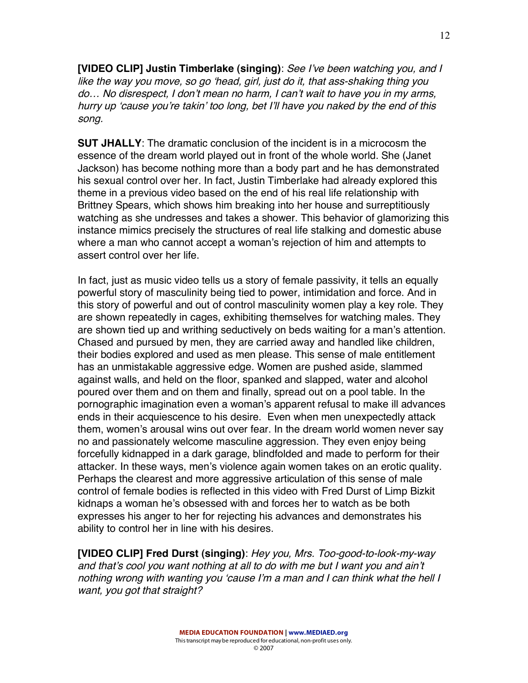**[VIDEO CLIP] Justin Timberlake (singing)**: See I've been watching you, and I like the way you move, so go 'head, girl, just do it, that ass-shaking thing you do… No disrespect, I don't mean no harm, I can't wait to have you in my arms, hurry up 'cause you're takin' too long, bet I'll have you naked by the end of this song.

**SUT JHALLY**: The dramatic conclusion of the incident is in a microcosm the essence of the dream world played out in front of the whole world. She (Janet Jackson) has become nothing more than a body part and he has demonstrated his sexual control over her. In fact, Justin Timberlake had already explored this theme in a previous video based on the end of his real life relationship with Brittney Spears, which shows him breaking into her house and surreptitiously watching as she undresses and takes a shower. This behavior of glamorizing this instance mimics precisely the structures of real life stalking and domestic abuse where a man who cannot accept a woman's rejection of him and attempts to assert control over her life.

In fact, just as music video tells us a story of female passivity, it tells an equally powerful story of masculinity being tied to power, intimidation and force. And in this story of powerful and out of control masculinity women play a key role. They are shown repeatedly in cages, exhibiting themselves for watching males. They are shown tied up and writhing seductively on beds waiting for a man's attention. Chased and pursued by men, they are carried away and handled like children, their bodies explored and used as men please. This sense of male entitlement has an unmistakable aggressive edge. Women are pushed aside, slammed against walls, and held on the floor, spanked and slapped, water and alcohol poured over them and on them and finally, spread out on a pool table. In the pornographic imagination even a woman's apparent refusal to make ill advances ends in their acquiescence to his desire. Even when men unexpectedly attack them, women's arousal wins out over fear. In the dream world women never say no and passionately welcome masculine aggression. They even enjoy being forcefully kidnapped in a dark garage, blindfolded and made to perform for their attacker. In these ways, men's violence again women takes on an erotic quality. Perhaps the clearest and more aggressive articulation of this sense of male control of female bodies is reflected in this video with Fred Durst of Limp Bizkit kidnaps a woman he's obsessed with and forces her to watch as be both expresses his anger to her for rejecting his advances and demonstrates his ability to control her in line with his desires.

**[VIDEO CLIP] Fred Durst (singing)**: Hey you, Mrs. Too-good-to-look-my-way and that's cool you want nothing at all to do with me but I want you and ain't nothing wrong with wanting you 'cause I'<sup>m</sup> <sup>a</sup> man and I can think what the hell I want, you got that straight?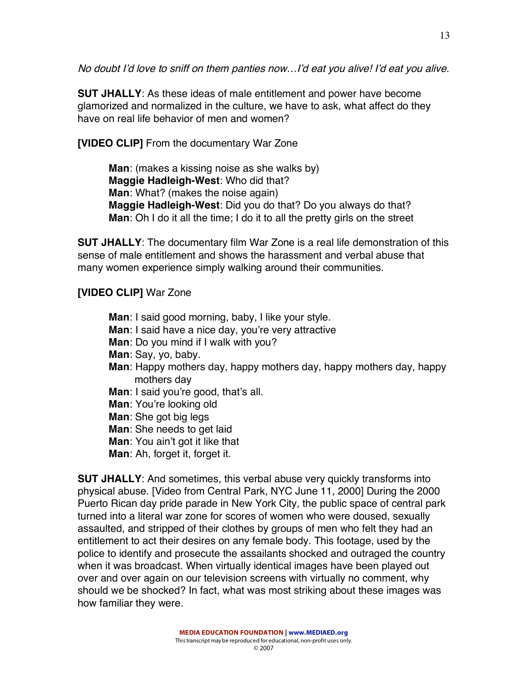No doubt I'd love to sniff on them panties now…I'd eat you alive! I'd eat you alive.

**SUT JHALLY**: As these ideas of male entitlement and power have become glamorized and normalized in the culture, we have to ask, what affect do they have on real life behavior of men and women?

**[VIDEO CLIP]** From the documentary War Zone

**Man**: (makes a kissing noise as she walks by) **Maggie Hadleigh-West**: Who did that? **Man**: What? (makes the noise again) **Maggie Hadleigh-West**: Did you do that? Do you always do that? **Man**: Oh I do it all the time; I do it to all the pretty girls on the street

**SUT JHALLY**: The documentary film War Zone is a real life demonstration of this sense of male entitlement and shows the harassment and verbal abuse that many women experience simply walking around their communities.

## **[VIDEO CLIP]** War Zone

**Man**: I said good morning, baby, I like your style. **Man**: I said have a nice day, you're very attractive **Man**: Do you mind if I walk with you? **Man**: Say, yo, baby. **Man**: Happy mothers day, happy mothers day, happy mothers day, happy mothers day **Man**: I said you're good, that's all. **Man**: You're looking old **Man**: She got big legs **Man**: She needs to get laid **Man**: You ain't got it like that **Man**: Ah, forget it, forget it.

**SUT JHALLY**: And sometimes, this verbal abuse very quickly transforms into physical abuse. [Video from Central Park, NYC June 11, 2000] During the 2000 Puerto Rican day pride parade in New York City, the public space of central park turned into a literal war zone for scores of women who were doused, sexually assaulted, and stripped of their clothes by groups of men who felt they had an entitlement to act their desires on any female body. This footage, used by the police to identify and prosecute the assailants shocked and outraged the country when it was broadcast. When virtually identical images have been played out over and over again on our television screens with virtually no comment, why should we be shocked? In fact, what was most striking about these images was how familiar they were.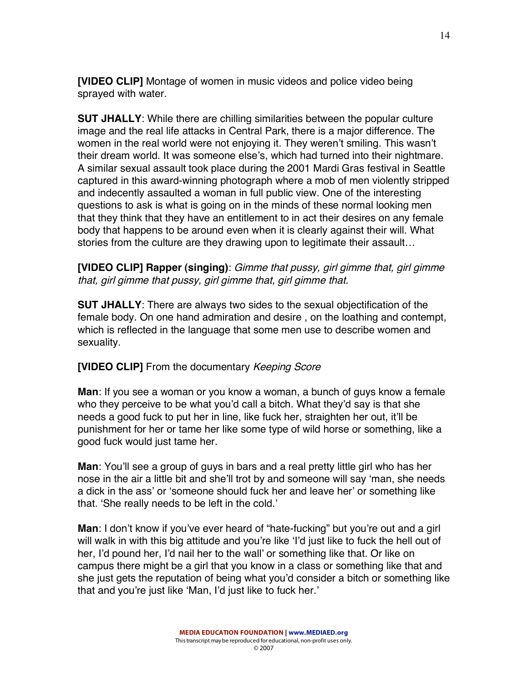**[VIDEO CLIP]** Montage of women in music videos and police video being sprayed with water.

**SUT JHALLY**: While there are chilling similarities between the popular culture image and the real life attacks in Central Park, there is a major difference. The women in the real world were not enjoying it. They weren't smiling. This wasn't their dream world. It was someone else's, which had turned into their nightmare. A similar sexual assault took place during the 2001 Mardi Gras festival in Seattle captured in this award-winning photograph where a mob of men violently stripped and indecently assaulted a woman in full public view. One of the interesting questions to ask is what is going on in the minds of these normal looking men that they think that they have an entitlement to in act their desires on any female body that happens to be around even when it is clearly against their will. What stories from the culture are they drawing upon to legitimate their assault…

**[VIDEO CLIP] Rapper (singing)**: Gimme that pussy, girl gimme that, girl gimme that, girl gimme that pussy, girl gimme that, girl gimme that.

**SUT JHALLY**: There are always two sides to the sexual objectification of the female body. On one hand admiration and desire , on the loathing and contempt, which is reflected in the language that some men use to describe women and sexuality.

#### **[VIDEO CLIP]** From the documentary Keeping Score

**Man**: If you see a woman or you know a woman, a bunch of guys know a female who they perceive to be what you'd call a bitch. What they'd say is that she needs a good fuck to put her in line, like fuck her, straighten her out, it'll be punishment for her or tame her like some type of wild horse or something, like a good fuck would just tame her.

**Man**: You'll see a group of guys in bars and a real pretty little girl who has her nose in the air a little bit and she'll trot by and someone will say 'man, she needs a dick in the ass' or 'someone should fuck her and leave her' or something like that. 'She really needs to be left in the cold.'

**Man**: I don't know if you've ever heard of "hate-fucking" but you're out and a girl will walk in with this big attitude and you're like 'I'd just like to fuck the hell out of her, I'd pound her, I'd nail her to the wall' or something like that. Or like on campus there might be a girl that you know in a class or something like that and she just gets the reputation of being what you'd consider a bitch or something like that and you're just like 'Man, I'd just like to fuck her.'